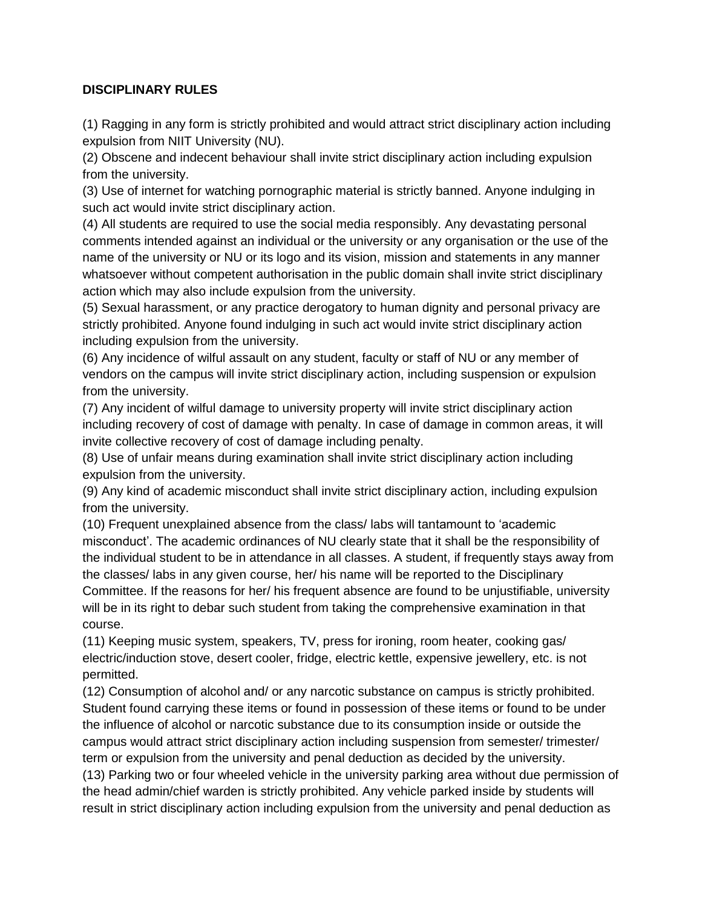## **DISCIPLINARY RULES**

(1) Ragging in any form is strictly prohibited and would attract strict disciplinary action including expulsion from NIIT University (NU).

(2) Obscene and indecent behaviour shall invite strict disciplinary action including expulsion from the university.

(3) Use of internet for watching pornographic material is strictly banned. Anyone indulging in such act would invite strict disciplinary action.

(4) All students are required to use the social media responsibly. Any devastating personal comments intended against an individual or the university or any organisation or the use of the name of the university or NU or its logo and its vision, mission and statements in any manner whatsoever without competent authorisation in the public domain shall invite strict disciplinary action which may also include expulsion from the university.

(5) Sexual harassment, or any practice derogatory to human dignity and personal privacy are strictly prohibited. Anyone found indulging in such act would invite strict disciplinary action including expulsion from the university.

(6) Any incidence of wilful assault on any student, faculty or staff of NU or any member of vendors on the campus will invite strict disciplinary action, including suspension or expulsion from the university.

(7) Any incident of wilful damage to university property will invite strict disciplinary action including recovery of cost of damage with penalty. In case of damage in common areas, it will invite collective recovery of cost of damage including penalty.

(8) Use of unfair means during examination shall invite strict disciplinary action including expulsion from the university.

(9) Any kind of academic misconduct shall invite strict disciplinary action, including expulsion from the university.

(10) Frequent unexplained absence from the class/ labs will tantamount to 'academic misconduct'. The academic ordinances of NU clearly state that it shall be the responsibility of the individual student to be in attendance in all classes. A student, if frequently stays away from the classes/ labs in any given course, her/ his name will be reported to the Disciplinary Committee. If the reasons for her/ his frequent absence are found to be unjustifiable, university will be in its right to debar such student from taking the comprehensive examination in that course.

(11) Keeping music system, speakers, TV, press for ironing, room heater, cooking gas/ electric/induction stove, desert cooler, fridge, electric kettle, expensive jewellery, etc. is not permitted.

(12) Consumption of alcohol and/ or any narcotic substance on campus is strictly prohibited. Student found carrying these items or found in possession of these items or found to be under the influence of alcohol or narcotic substance due to its consumption inside or outside the campus would attract strict disciplinary action including suspension from semester/ trimester/ term or expulsion from the university and penal deduction as decided by the university.

(13) Parking two or four wheeled vehicle in the university parking area without due permission of the head admin/chief warden is strictly prohibited. Any vehicle parked inside by students will result in strict disciplinary action including expulsion from the university and penal deduction as